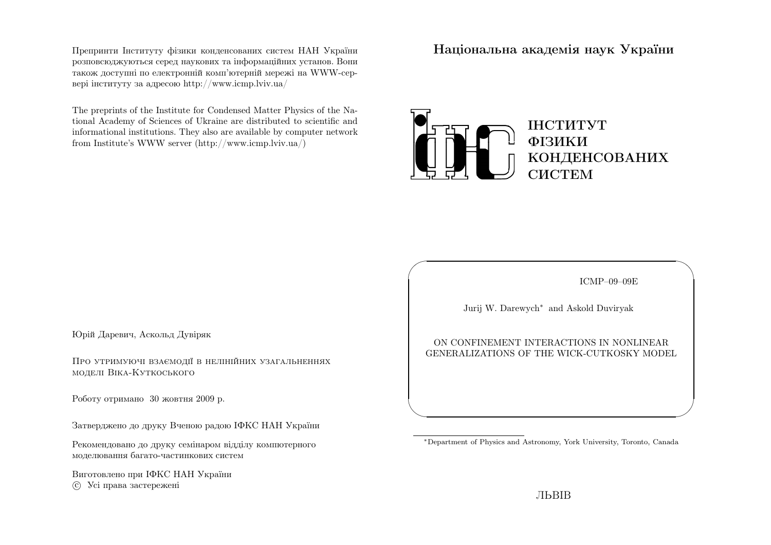Препринти Iнституту фiзики конденсованих систем НАН України розповсюджуються серед наукових та iнформацiйних установ. Вони також доступнi по електроннiй комп'ютернiй мережi на WWW-сервер<sup>i</sup> iнституту за адресою http://www.icmp.lviv.ua/

The preprints of the Institute for Condensed Matter Physics of the National Academy of Sciences of Ukraine are distributed to scientific and informational institutions. They also are available by computer networkfrom Institute's WWW server (http://www.icmp.lviv.ua/)

Нацiональна академiя наук України



ICMP–09–09E

✩

 $\mathcal{S}$ 

Jurij W. Darewych∗ and Askold Duviryak

 $\sqrt{2}$ 

 $\setminus$ 

ON CONFINEMENT INTERACTIONS IN NONLINEARGENERALIZATIONS OF THE WICK-CUTKOSKY MODEL

Юрiй Даревич, Аскольд Дувiряк

Про утримуючi взаємодiї <sup>в</sup> нелiнiйних узагальненняхмоделi Вiка-Куткоського

Роботу отримано 30 жовтня 2009 р.

Затверджено до друку Вченою радою IФКС НАН України

Рекомендовано до друку семiнаром вiддiлу компютерногомоделювання багато-частинкових систем

Виготовлено при IФКС НАН Україниc Усi права застережен<sup>i</sup>

<sup>∗</sup>Department of Physics and Astronomy, York University, Toronto, Canada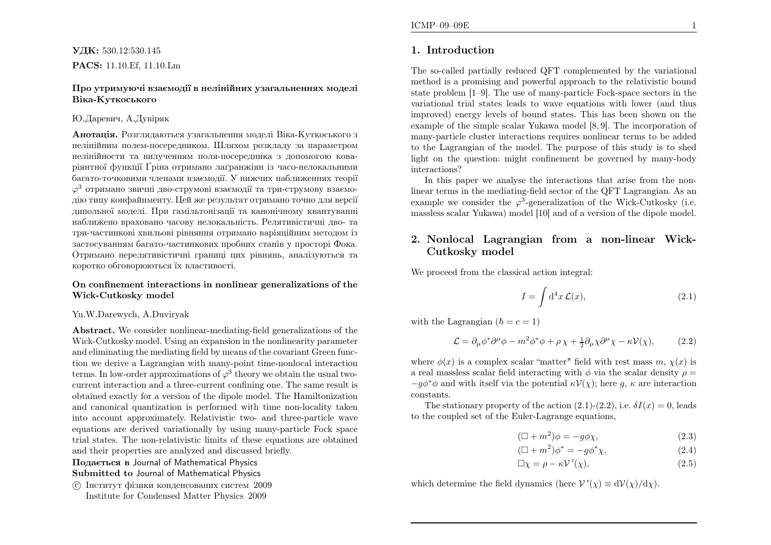#### Про утримуючi взаємодiї <sup>в</sup> нелiнiйних узагальненнях моделiВiка-Куткоського

#### Ю.Даревич, А.Дувiряк

**Анотація.** Розглядаються узагальнення моделі Віка-Куткоського з нелiнiйним полем-посередником. Шляхом розкладу за параметром нелiнiйности та вилученням поля-посередника <sup>з</sup> допомогою кова<sup>р</sup>iянтної функцiї Ґрiна отримано лаґранжiян iз часо-нелокальними багато-точковими членами взаємодiї. У нижчих наближеннях теорiї  $\varphi^3$  отримано звичні дво-струмові взаємодії та три-струмову взаємо дiю типу конфайнменту. Цей же результат отримано точно для версiї дипольної моделi. При гамiльтонiзацiї та канонiчному квантуваннi наближено враховано часову нелокальнiсть. Релятивiстичнi дво- та три-частинковi хвильовi рiвняння отримано варiяцiйним методом iз застосуванням багато-частинкових пробних станiв у просторi Фока. Отримано нерелятивiстичнi границi цих <sup>р</sup>iвнянь, аналiзуються такоротко обговорюються їх властивостi.

#### On confinement interactions in nonlinear generalizations of theWick-Cutkosky model

#### Yu.W.Darewych, A.Duviryak

Abstract. We consider nonlinear-mediating-field generalizations of the Wick-Cutkosky model. Using an expansion in the nonlinearity parameter and eliminating the mediating field by means of the covariant Green function we derive <sup>a</sup> Lagrangian with many-point time-nonlocal interactionterms. In low-order approximations of  $\varphi^3$  theory we obtain the usual two- current interaction and <sup>a</sup> three-current confining one. The same result is obtained exactly for <sup>a</sup> version of the dipole model. The Hamiltonization and canonical quantization is performed with time non-locality taken into account approximately. Relativistic two- and three-particle wave equations are derived variationally by using many-particle Fock space trial states. The non-relativistic limits of these equations are obtainedand their properties are analyzed and discussed briefly.

Подається <sup>в</sup> Journal of Mathematical Physics

Submitted to Journal of Mathematical Physics

 c Iнститут фiзики конденсованих систем <sup>2009</sup>Institute for Condensed Matter Physics 2009

### 1. Introduction

The so-called partially reduced QFT complemented by the variational method is <sup>a</sup> promising and powerful approach to the relativistic bound state problem [1–9]. The use of many-particle Fock-space sectors in the variational trial states leads to wave equations with lower (and thus improved) energy levels of bound states. This has been shown on the example of the simple scalar Yukawa model [8, 9]. The incorporation of many-particle cluster interactions requires nonlinear terms to be added to the Lagrangian of the model. The purpose of this study is to shed light on the question: might confinement be governed by many-bodyinteractions?

 In this paper we analyse the interactions that arise from the nonlinear terms in the mediating-field sector of the QFT Lagrangian. As anexample we consider the  $\varphi^3$ -generalization of the Wick-Cutkosky (i.e. massless scalar Yukawa) model [10] and of <sup>a</sup> version of the dipole model.

## 2. Nonlocal Lagrangian from <sup>a</sup> non-linear Wick-Cutkosky model

We proceed from the classical action integral:

$$
I = \int d^4x \mathcal{L}(x),\tag{2.1}
$$

with the Lagrangian  $(\hbar = c = 1)$ 

$$
\mathcal{L} = \partial_{\mu} \phi^* \partial^{\mu} \phi - m^2 \phi^* \phi + \rho \chi + \frac{1}{2} \partial_{\mu} \chi \partial^{\mu} \chi - \kappa \mathcal{V}(\chi), \tag{2.2}
$$

where  $\phi(x)$  is a complex scalar "matter" field with rest mass  $m, \chi(x)$  is a real massless scalar field interacting with  $\phi$  via the scalar density  $\rho =$  $-g\phi^*\phi$  and with itself via the potential  $\kappa\mathcal{V}(\chi)$ ; here g,  $\kappa$  are interaction constants.

The stationary property of the action  $(2.1)-(2.2)$ , i.e.  $\delta I(x) = 0$ , leads to the coupled set of the Euler-Lagrange equations,

$$
(\Box + m^2)\phi = -g\phi\chi,\tag{2.3}
$$

$$
(\Box + m^2)\phi^* = -g\phi^*\chi,\tag{2.4}
$$

$$
\Box \chi = \rho - \kappa \mathcal{V}'(\chi),\tag{2.5}
$$

which determine the field dynamics (here  $V'(\chi) \equiv dV(\chi)/d\chi$ ).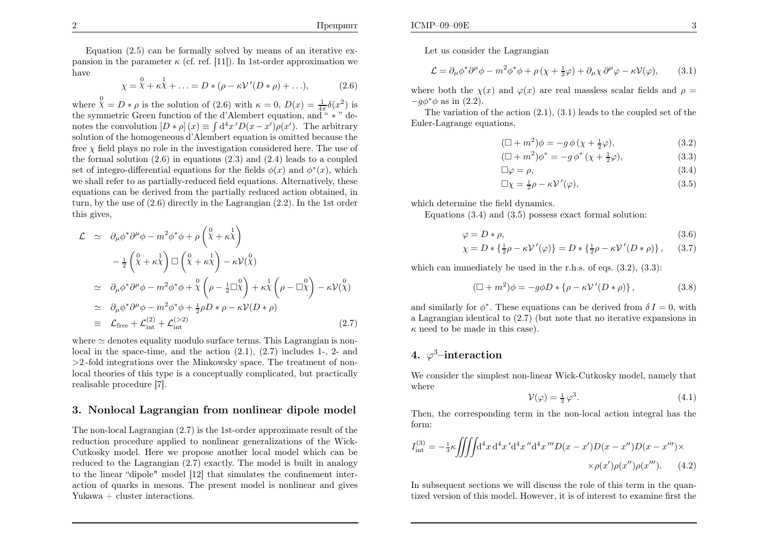Equation  $(2.5)$  can be formally solved by means of an iterative expansion in the parameter  $\kappa$  (cf. ref. [11]). In 1st-order approximation we have

$$
\chi = \chi^0 + \kappa \chi^1 + \ldots = D * (\rho - \kappa \mathcal{V}'(D * \rho) + \ldots), \tag{2.6}
$$

where  $\chi^0 = D * \rho$  is the solution of (2.6) with  $\kappa = 0$ ,  $D(x) = \frac{1}{4\pi} \delta(x^2)$  is the symmetric Green function of the d'Alembert equation, and " <sup>∗</sup> " denotes the convolution  $[D * \rho](x) \equiv \int d^4x' D(x-x')\rho(x')$ . The arbitrary solution of the homogeneous d'Alembert equation is omitted because the free  $\chi$  field plays no role in the investigation considered here. The use of the formal solution (2.6) in equations (2.3) and (2.4) leads to <sup>a</sup> coupledset of integro-differential equations for the fields  $\phi(x)$  and  $\phi^*(x)$ , which we shall refer to as partially-reduced field equations. Alternatively, these equations can be derived from the partially reduced action obtained, in turn, by the use of (2.6) directly in the Lagrangian (2.2). In the 1st order this gives,

$$
\mathcal{L} \simeq \partial_{\mu}\phi^*\partial^{\mu}\phi - m^2\phi^*\phi + \rho\left(\chi + \kappa\chi\right) \n- \frac{1}{2}\left(\chi + \kappa\chi\right)\Box\left(\chi + \kappa\chi\right) - \kappa\mathcal{V}(\chi) \n\simeq \partial_{\mu}\phi^*\partial^{\mu}\phi - m^2\phi^*\phi + \chi\left(\rho - \frac{1}{2}\Box\chi\right) + \kappa\chi\left(\rho - \Box\chi\right) - \kappa\mathcal{V}(\chi) \n\simeq \partial_{\mu}\phi^*\partial^{\mu}\phi - m^2\phi^*\phi + \frac{1}{2}\rho D*\rho - \kappa\mathcal{V}(D*\rho) \n\equiv \mathcal{L}_{\text{free}} + \mathcal{L}_{\text{int}}^{(2)} + \mathcal{L}_{\text{int}}^{(>2)} \tag{2.7}
$$

where  $\simeq$  denotes equality modulo surface terms. This Lagrangian is non-<br>level in the grace time, and the estimated 2.1 (2.7) includes 1.2 and local in the space-time, and the action (2.1), (2.7) includes 1-, 2- and >2 -fold integrations over the Minkowsky space. The treatment of nonlocal theories of this type is <sup>a</sup> conceptually complicated, but practicallyrealisable procedure [7].

## 3. Nonlocal Lagrangian from nonlinear dipole model

The non-local Lagrangian (2.7) is the 1st-order approximate result of the reduction procedure applied to nonlinear generalizations of the Wick-Cutkosky model. Here we propose another local model which can be reduced to the Lagrangian (2.7) exactly. The model is built in analogy to the linear "dipole" model [12] that simulates the confinement interaction of quarks in mesons. The present model is nonlinear and givesYukawa + cluster interactions.

Let us consider the Lagrangian

$$
\mathcal{L} = \partial_{\mu} \phi^* \partial^{\mu} \phi - m^2 \phi^* \phi + \rho (\chi + \frac{1}{2} \varphi) + \partial_{\mu} \chi \partial^{\mu} \varphi - \kappa \mathcal{V}(\varphi), \tag{3.1}
$$

where both the  $\chi(x)$  and  $\varphi(x)$  are real massless scalar fields and  $\rho=$  $-g\phi^*\phi$  as in (2.2).

The variation of the action  $(2.1)$ ,  $(3.1)$  leads to the coupled set of the Euler-Lagrange equations,

$$
(\Box + m^2)\phi = -g\,\phi\,( \chi + \frac{1}{2}\varphi),\tag{3.2}
$$

$$
(\Box + m^2)\phi^* = -g\,\phi^*\,(\chi + \frac{1}{2}\varphi),\tag{3.3}
$$

$$
\Box \varphi = \rho,\tag{3.4}
$$

$$
\Box \chi = \frac{1}{2}\rho - \kappa \mathcal{V}'(\varphi),\tag{3.5}
$$

which determine the field dynamics.

Equations (3.4) and (3.5) possess exact formal solution:

$$
\varphi = D * \rho,\tag{3.6}
$$

$$
\chi = D * \left\{ \frac{1}{2}\rho - \kappa \mathcal{V}'(\varphi) \right\} = D * \left\{ \frac{1}{2}\rho - \kappa \mathcal{V}'(D * \rho) \right\}, \quad (3.7)
$$

which can immediately be used in the r.h.s. of eqs.  $(3.2)$ ,  $(3.3)$ :

$$
(\Box + m^2)\phi = -g\phi D * \{\rho - \kappa \mathcal{V}'(D * \rho)\},\tag{3.8}
$$

and similarly for  $\phi^*$ . These equations can be derived from  $\delta I = 0$ , with <sup>a</sup> Lagrangian identical to (2.7) (but note that no iterative expansions in $\kappa$  need to be made in this case).

## $4.~~\varphi^3\text{--}$ interaction

We consider the simplest non-linear Wick-Cutkosky model, namely thatwhere

$$
\mathcal{V}(\varphi) = \frac{1}{3} \varphi^3. \tag{4.1}
$$

Then, the corresponding term in the non-local action integral has theform:

$$
I_{\rm int}^{(3)} = -\frac{1}{3}\kappa \iiint d^4x \, d^4x' d^4x'' d^4x''' D(x - x')D(x - x'')D(x - x''') \times \n\times \rho(x')\rho(x'')\rho(x'''). \tag{4.2}
$$

In subsequent sections we will discuss the role of this term in the quantized version of this model. However, it is of interest to examine first the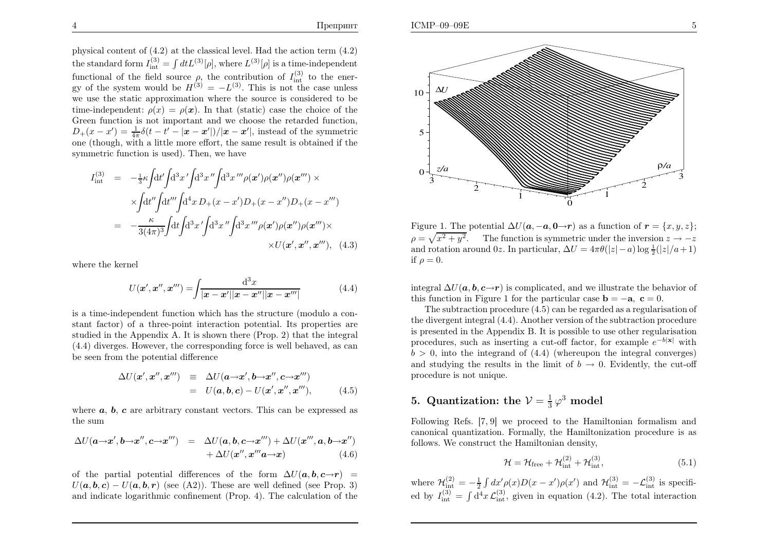<sup>p</sup>hysical content of (4.2) at the classical level. Had the action term (4.2)the standard form  $I_{\text{int}}^{(3)} = \int dt L^{(3)}[\rho]$ , where  $L^{(3)}[\rho]$  is a time-independent functional of the field source  $\rho$ , the contribution of  $I_{int}^{(3)}$  to the ener-<br>gy of the system would be  $H^{(3)} = -L^{(3)}$ . This is not the case unless we use the static approximation where the source is considered to betime-independent:  $\rho(x) = \rho(x)$ . In that (static) case the choice of the Green function is not important and we choose the retarded function, $D_{+}(x-x') = \frac{1}{4\pi} \delta(t-t'-|x-x'|)/|x-x'|$ , instead of the symmetric one (though, with <sup>a</sup> little more effort, the same result is obtained if thesymmetric function is used). Then, we have

$$
I_{int}^{(3)} = -\frac{1}{3}\kappa \int dt' \int dt'' \int dt'' \int dt'' \int dt'' \rho(x') \rho(x'') \rho(x''') \times
$$
  
 
$$
\times \int dt'' \int dt'''\int dt'' \int dt'' \int dt'' \rho(x-x') D_{+}(x-x'') D_{+}(x-x''')
$$
  

$$
= -\frac{\kappa}{3(4\pi)^3} \int dt \int dt'' \int dt'' \int dt'' \int dt'' \rho(x') \rho(x'') \rho(x''') \times
$$
  

$$
\times U(x', x'', x'''), \quad (4.3)
$$

where the kernel

$$
U(\mathbf{x}', \mathbf{x}'', \mathbf{x}''') = \int \frac{\mathrm{d}^3 x}{|\mathbf{x} - \mathbf{x}'||\mathbf{x} - \mathbf{x}''||\mathbf{x} - \mathbf{x}'''|}
$$
(4.4)

is <sup>a</sup> time-independent function which has the structure (modulo <sup>a</sup> constant factor) of <sup>a</sup> three-point interaction potential. Its properties are studied in the Appendix A. It is shown there (Prop. 2) that the integral (4.4) diverges. However, the corresponding force is well behaved, as canbe seen from the potential difference

$$
\Delta U(\mathbf{x}', \mathbf{x}'', \mathbf{x}''') \equiv \Delta U(\mathbf{a} \rightarrow \mathbf{x}', \mathbf{b} \rightarrow \mathbf{x}'', \mathbf{c} \rightarrow \mathbf{x}''')
$$
  
=  $U(\mathbf{a}, \mathbf{b}, \mathbf{c}) - U(\mathbf{x}', \mathbf{x}'', \mathbf{x}''')$ , (4.5)

where  $a, b, c$  are arbitrary constant vectors. This can be expressed as the sum

$$
\Delta U(\mathbf{a}\rightarrow\mathbf{x}',\mathbf{b}\rightarrow\mathbf{x}'',\mathbf{c}\rightarrow\mathbf{x}''') = \Delta U(\mathbf{a},\mathbf{b},\mathbf{c}\rightarrow\mathbf{x}''') + \Delta U(\mathbf{x}''',\mathbf{a},\mathbf{b}\rightarrow\mathbf{x}'') + \Delta U(\mathbf{x}'',\mathbf{x}''''\mathbf{a}\rightarrow\mathbf{x})
$$
(4.6)

of the partial potential differences of the form  $\Delta U(\boldsymbol{a}, \boldsymbol{b}, \boldsymbol{c} \rightarrow \boldsymbol{r}) =$  $U(\boldsymbol{a}, \boldsymbol{b}, \boldsymbol{c}) - U(\boldsymbol{a}, \boldsymbol{b}, \boldsymbol{r})$  (see (A2)). These are well defined (see Prop. 3) and indicate logarithmic confinement (Prop. 4). The calculation of the



Figure 1. The potential  $\Delta U(\mathbf{a}, -\mathbf{a}, \mathbf{0} \rightarrow \mathbf{r})$  as a function of  $\mathbf{r} = \{x, y, z\}$ ;  $\rho = \sqrt{x^2 + y^2}$ . The function is symmetric under the inversion  $\rho = \sqrt{x^2 + y^2}$ . The function is symmetric under the inversion  $z \to -z$ <br>and rotation around 0z. In particular,  $\Delta U = 4\pi \theta(|z| - a) \log \frac{1}{2}(|z|/a + 1)$ if  $\rho = 0$ .

integral  $\Delta U(\boldsymbol{a}, \boldsymbol{b}, \boldsymbol{c} \rightarrow \boldsymbol{r})$  is complicated, and we illustrate the behavior of this function in Figure 1 for the particular case **b** =  $-\mathbf{a}$ , **c** = 0.

 The subtraction procedure (4.5) can be regarded as <sup>a</sup> regularisation of the divergent integral (4.4). Another version of the subtraction procedure is presented in the Appendix B. It is possible to use other regularisationprocedures, such as inserting a cut-off factor, for example  $e^{-b|\mathbf{x}|}$  with  $b > 0$ , into the integrand of  $(4.4)$  (whereupon the integral converges) and studying the results in the limit of  $b \to 0$ . Evidently, the cut-off procedure is not unique. procedure is not unique.

# 5. Quantization: the  $\mathcal{V}=\frac{1}{3}\,\varphi^3$  model

Following Refs. [7, 9] we proceed to the Hamiltonian formalism and canonical quantization. Formally, the Hamiltonization procedure is asfollows. We construct the Hamiltonian density,

$$
\mathcal{H} = \mathcal{H}_{\text{free}} + \mathcal{H}_{\text{int}}^{(2)} + \mathcal{H}_{\text{int}}^{(3)},\tag{5.1}
$$

where  $\mathcal{H}^{(2)}_{\text{int}} = -\frac{1}{2} \int dx' \rho(x) D(x - x') \rho(x')$  and  $\mathcal{H}^{(3)}_{\text{int}} = -\mathcal{L}^{(3)}_{\text{int}}$  is specified by  $I_{\text{int}}^{(3)} = \int d^4x \mathcal{L}_{\text{int}}^{(3)}$ , given in equation (4.2). The total interaction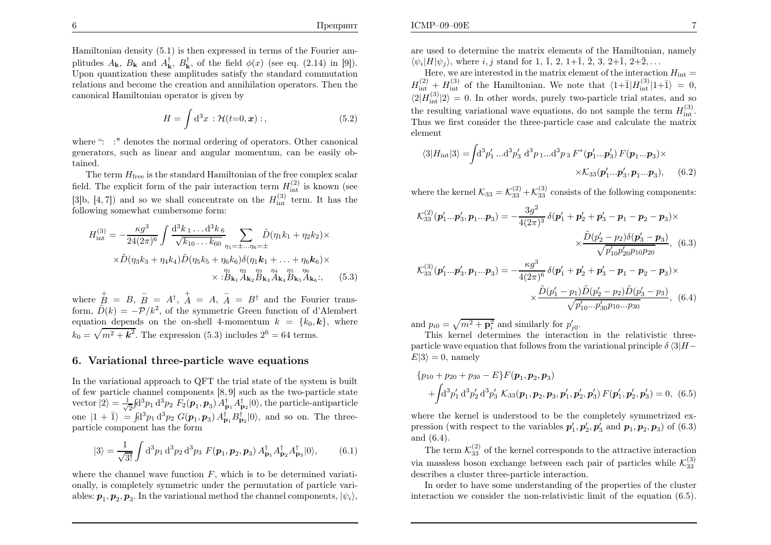Hamiltonian density (5.1) is then expressed in terms of the Fourier amplitudes  $A_{\mathbf{k}}$ ,  $B_{\mathbf{k}}$  and  $A_{\mathbf{k}}^{\dagger}$ ,  $B_{\mathbf{k}}^{\dagger}$ , of the field  $\phi(x)$  (see eq. (2.14) in [9]). Upon quantization these amplitudes satisfy the standard commutation relations and become the creation and annihilation operators. Then thecanonical Hamiltonian operator is given by

$$
H = \int d^3x \, : \mathcal{H}(t=0, \mathbf{x}) \, : \tag{5.2}
$$

where ": :" denotes the normal ordering of operators. Other canonical generators, such as linear and angular momentum, can be easily obtained.

The term  $H_{\text{free}}$  is the standard Hamiltonian of the free complex scalar field. The explicit form of the pair interaction term  $H_{\text{int}}^{(2)}$  is known (see [3]b, [4, 7]) and so we shall concentrate on the  $H_{int}^{(3)}$  term. It has the following somewhat cumbersome form:

$$
H_{\text{int}}^{(3)} = -\frac{\kappa g^3}{24(2\pi)^6} \int \frac{\mathrm{d}^3 k_1 \dots \mathrm{d}^3 k_6}{\sqrt{k_{10} \dots k_{60}}} \sum_{\eta_1 = \pm \dots \eta_6 = \pm} \tilde{D}(\eta_1 k_1 + \eta_2 k_2) \times
$$
  
 
$$
\times \tilde{D}(\eta_3 k_3 + \eta_4 k_4) \tilde{D}(\eta_5 k_5 + \eta_6 k_6) \delta(\eta_1 k_1 + \dots + \eta_6 k_6) \times
$$
  

$$
\times \frac{\eta_1}{B} \sum_{k_1} \frac{\eta_2}{A_{k_2} B_{k_3} A_{k_4} B_{k_5} A_{k_6}}; \qquad (5.3)
$$

where  $\overrightarrow{B} = B, \overrightarrow{B}$ form,  $\tilde{D}(k) = -\mathcal{P}/k^2$ , of the symmetric Green function of d'Alembert  $B = A^{\dagger},$  $\stackrel{+}{A}$  = A,  $\stackrel{-}{A}$  $A = B^{\dagger}$  and the Fourier transequation depends on the on-shell 4-momentum  $k = \{k_0, \mathbf{k}\},\$  where  $k_0 = \sqrt{m^2 + \mathbf{k}^2}$ . The expression (5.3) includes  $2^6 = 64$  terms.

#### 6. Variational three-particle wave equations

In the variational approach to QFT the trial state of the system is built of few particle channel components [8, 9] such as the two-particle statevector  $|2\rangle = \frac{1}{\sqrt{2}} \int d^3p_1 d^3p_2 F_2(p_1, p_3) A_{\mathbf{p}_1}^{\dagger} A_{\mathbf{p}_2}^{\dagger} |0\rangle$ , the particle-antiparticle one  $|1 + \overline{1}\rangle = \int d^3p_1 d^3p_2 G(\mathbf{p}_1, \mathbf{p}_3) A_{\mathbf{p}_1}^{\dagger} B_{\mathbf{p}_2}^{\dagger} |0\rangle$ , and so on. The three-particle component has the form

$$
|3\rangle = \frac{1}{\sqrt{3!}} \int d^3 p_1 d^3 p_2 d^3 p_3 F(\mathbf{p}_1, \mathbf{p}_2, \mathbf{p}_3) A_{\mathbf{p}_1}^{\dagger} A_{\mathbf{p}_2}^{\dagger} A_{\mathbf{p}_3}^{\dagger} |0\rangle, \tag{6.1}
$$

where the channel wave function  $F$ , which is to be determined variati onally, is completely symmetric under the permutation of particle variables:  $\bm{p}_1, \bm{p}_2, \bm{p}_3.$  In the variational method the channel components,  $|\psi_i\rangle,$ 

are used to determine the matrix elements of the Hamiltonian, namely $\langle \psi_i|H|\psi_j\rangle$ , where  $i, j$  stand for 1,  $\bar{1}$ , 2,  $1+\bar{1}$ ,  $\bar{2}$ , 3,  $2+\bar{1}$ ,  $2+\bar{2}$ , ...

Here, we are interested in the matrix element of the interaction  $H_{\text{int}}=$  $H_{\text{int}}^{(2)} + H_{\text{int}}^{(3)}$  of the Hamiltonian. We note that  $\langle 1+\bar{1}|H_{\text{int}}^{(3)}|1+\bar{1}\rangle = 0$ ,  $\langle 2|H_{\text{int}}^{(3)}|2\rangle = 0.$  In other words, purely two-particle trial states, and so the resulting variational wave equations, do not sample the term  $H_{\text{int}}^{(3)}$ . Thus we first consider the three-particle case and calculate the matrixelement

$$
\langle 3|H_{\rm int}|3\rangle = \int d^3p'_1 \dots d^3p'_3 \ d^3p_1 \dots d^3p_3 F^*(\mathbf{p}'_1 \dots \mathbf{p}'_3) F(\mathbf{p}_1 \dots \mathbf{p}_3) \times
$$

$$
\times \mathcal{K}_{33}(\mathbf{p}'_1 \dots \mathbf{p}'_3, \mathbf{p}_1 \dots \mathbf{p}_3), \quad (6.2)
$$

where the kernel  $\mathcal{K}_{33}=\mathcal{K}_{33}^{(2)}+\mathcal{K}_{33}^{(3)}$  consists of the following components:

$$
\mathcal{K}_{33}^{(2)}(\mathbf{p}'_1 \dots \mathbf{p}'_3, \mathbf{p}_1 \dots \mathbf{p}_3) = -\frac{3g^2}{4(2\pi)^3} \delta(\mathbf{p}'_1 + \mathbf{p}'_2 + \mathbf{p}'_3 - \mathbf{p}_1 - \mathbf{p}_2 - \mathbf{p}_3) \times \times \frac{\tilde{D}(p'_2 - p_2)\delta(\mathbf{p}'_3 - \mathbf{p}_3)}{\sqrt{p'_{10}p'_{20}p_{10}p_{20}}},
$$
(6.3)  

$$
\mathcal{K}_{33}^{(3)}(\mathbf{p}'_1 \dots \mathbf{p}'_3, \mathbf{p}_1 \dots \mathbf{p}_3) = -\frac{\kappa g^3}{4(2\pi)^6} \delta(\mathbf{p}'_1 + \mathbf{p}'_2 + \mathbf{p}'_3 - \mathbf{p}_1 - \mathbf{p}_2 - \mathbf{p}_3) \times \times \frac{\tilde{D}(p'_1 - p_1)\tilde{D}(p'_2 - p_2)\tilde{D}(p'_3 - p_3)}{\sqrt{p'_{10} \dots p'_{30}p_{10} \dots p_{30}}},
$$
(6.4)

and  $p_{i0} = \sqrt{m^2 + \mathbf{p}_i^2}$  and similarly for  $p'_{j0}$ .

 This kernel determines the interaction in the relativistic threeparticle wave equation that follows from the variational principle  $\delta \langle 3|H E|3\rangle = 0$ , namely

×

$$
\{p_{10} + p_{20} + p_{30} - E\} F(\boldsymbol{p}_1, \boldsymbol{p}_2, \boldsymbol{p}_3) + \int d^3 p'_1 d^3 p'_2 d^3 p'_3 \mathcal{K}_{33}(\boldsymbol{p}_1, \boldsymbol{p}_2, \boldsymbol{p}_3, \boldsymbol{p}'_1, \boldsymbol{p}'_2, \boldsymbol{p}'_3) F(\boldsymbol{p}'_1, \boldsymbol{p}'_2, \boldsymbol{p}'_3) = 0, \tag{6.5}
$$

where the kernel is understood to be the completely symmetrized expression (with respect to the variables  $p'_1, p'_2, p'_3$  and  $p_1, p_2, p_3$ ) of (6.3) and (6.4).

The term  $\mathcal{K}_{33}^{(2)}$  of the kernel corresponds to the attractive interaction via massless boson exchange between each pair of particles while  $\mathcal{K}_{33}^{(3)}$ describes <sup>a</sup> cluster three-particle interaction.

In order to have some understanding of the properties of the clusterinteraction we consider the non-relativistic limit of the equation (6.5).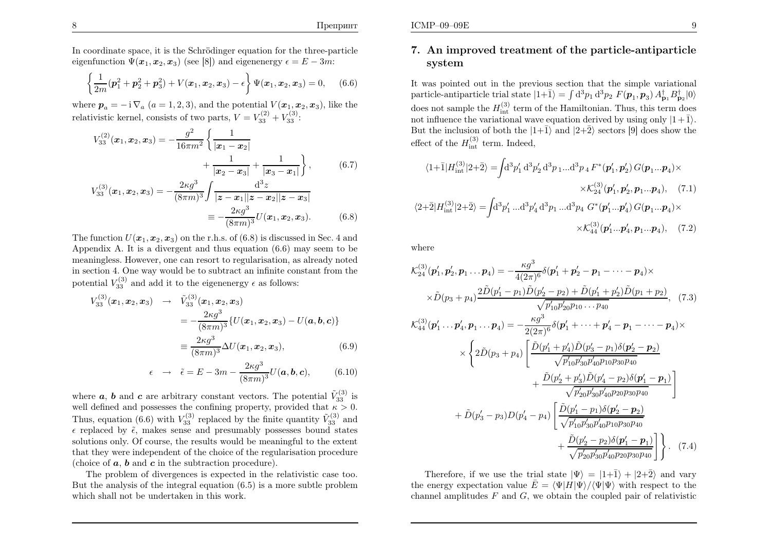In coordinate space, it is the Schrödinger equation for the three-particle eigenfunction  $\Psi(\mathbf{x}_1, \mathbf{x}_2, \mathbf{x}_3)$  (see [8]) and eigenenergy  $\epsilon = E-3m$ :

$$
\left\{\frac{1}{2m}(\boldsymbol{p}_1^2 + \boldsymbol{p}_2^2 + \boldsymbol{p}_3^2) + V(\boldsymbol{x}_1, \boldsymbol{x}_2, \boldsymbol{x}_3) - \epsilon\right\} \Psi(\boldsymbol{x}_1, \boldsymbol{x}_2, \boldsymbol{x}_3) = 0, \quad (6.6)
$$

where  $p_a = -i \nabla_a (a = 1, 2, 3)$ , and the potential  $V(\mathbf{x}_1, \mathbf{x}_2, \mathbf{x}_3)$ , like the relativistic kernel, consists of two parts,  $V=V_{33}^{(2)}+V_{33}^{(3)}$ :

$$
V_{33}^{(2)}(\boldsymbol{x}_1, \boldsymbol{x}_2, \boldsymbol{x}_3) = -\frac{g^2}{16\pi m^2} \left\{ \frac{1}{|\boldsymbol{x}_1 - \boldsymbol{x}_2|} + \frac{1}{|\boldsymbol{x}_2 - \boldsymbol{x}_3|} + \frac{1}{|\boldsymbol{x}_3 - \boldsymbol{x}_1|} \right\},\qquad(6.7)
$$

$$
V_{33}^{(3)}(\boldsymbol{x}_1, \boldsymbol{x}_2, \boldsymbol{x}_3) = -\frac{2\kappa g^3}{(8\pi m)^3} \int \frac{d^3 z}{|\boldsymbol{z} - \boldsymbol{x}_1||\boldsymbol{z} - \boldsymbol{x}_2||\boldsymbol{z} - \boldsymbol{x}_3|} = -\frac{2\kappa g^3}{(8\pi m)^3} U(\boldsymbol{x}_1, \boldsymbol{x}_2, \boldsymbol{x}_3).
$$
(6.8)

The function  $U(\boldsymbol{x}_1,\boldsymbol{x}_2,\boldsymbol{x}_3)$  on the r.h.s. of (6.8) is discussed in Sec. 4 and Appendix A. It is a divergent and thus equation  $(6.6)$  may seem to be expected. meaningless. However, one can resort to regularisation, as already noted in section 4. One way would be to subtract an infinite constant from thepotential  $V_{33}^{(3)}$  and add it to the eigenenergy  $\epsilon$  as follows:

$$
V_{33}^{(3)}(\boldsymbol{x}_1, \boldsymbol{x}_2, \boldsymbol{x}_3) \rightarrow \tilde{V}_{33}^{(3)}(\boldsymbol{x}_1, \boldsymbol{x}_2, \boldsymbol{x}_3)
$$
  
=  $-\frac{2\kappa g^3}{(8\pi m)^3} \{ U(\boldsymbol{x}_1, \boldsymbol{x}_2, \boldsymbol{x}_3) - U(\boldsymbol{a}, \boldsymbol{b}, \boldsymbol{c}) \}$   
=  $\frac{2\kappa g^3}{(8\pi m)^3} \Delta U(\boldsymbol{x}_1, \boldsymbol{x}_2, \boldsymbol{x}_3),$  (6.9)

$$
\epsilon \rightarrow \tilde{\epsilon} = E - 3m - \frac{2\kappa g^3}{(8\pi m)^3} U(\mathbf{a}, \mathbf{b}, \mathbf{c}), \quad (6.10)
$$

where  $\boldsymbol{a}$ ,  $\boldsymbol{b}$  and  $\boldsymbol{c}$  are arbitrary constant vectors. The potential  $\tilde{V}_{33}^{(3)}$  is well defined and possesses the confining property, provided that  $\kappa > 0$ . Thus, equation (6.6) with  $V_{33}^{(3)}$  replaced by the finite quantity  $\tilde{V}_{33}^{(3)}$  and  $\epsilon$  replaced by  $\tilde{\epsilon}$ , makes sense and presumably possesses bound states solutions only. Of course, the results would be meaningful to the extent that they were independent of the choice of the regularisation procedure(choice of  $a, b$  and  $c$  in the subtraction procedure).

 The problem of divergences is expected in the relativistic case too.But the analysis of the integral equation (6.5) is <sup>a</sup> more subtle problemwhich shall not be undertaken in this work.

## 7. An improved treatment of the particle-antiparticlesystem

It was pointed out in the previous section that the simple variationalparticle-antiparticle trial state  $|1+\bar{1}\rangle = \int d^3p_1 d^3p_2 F(\mathbf{p}_1, \mathbf{p}_3) A_{\mathbf{p}_1}^{\dagger} B_{\mathbf{p}_2}^{\dagger} |0\rangle$ does not sample the  $H_{int}^{(3)}$  term of the Hamiltonian. Thus, this term does not influence the variational wave equation derived by using only  $|1+\overline{1}\rangle$ . But the inclusion of both the  $|1+\bar{1}\rangle$  and  $|2+\bar{2}\rangle$  sectors [9] does show the effect of the  $H_{\text{int}}^{(3)}$  term. Indeed,

$$
\langle 1+\bar{1}|H_{\rm int}^{(3)}|2+\bar{2}\rangle = \int d^3p'_1 d^3p'_2 d^3p_1 ... d^3p_4 F^*(p'_1, p'_2) G(p_1...p_4) \times \times \mathcal{K}_{24}^{(3)}(p'_1, p'_2, p_1...p_4), \quad (7.1)
$$
  

$$
\langle 2+\bar{2}|H_{\rm int}^{(3)}|2+\bar{2}\rangle = \int d^3p'_1 ... d^3p'_4 d^3p_1 ... d^3p_4 G^*(p'_1...p'_4) G(p_1...p_4) \times \times \mathcal{K}_{44}^{(3)}(p'_1...p'_4, p_1...p_4), \quad (7.2)
$$

where

$$
\mathcal{K}_{24}^{(3)}(\mathbf{p}'_1, \mathbf{p}'_2, \mathbf{p}_1 \dots \mathbf{p}_4) = -\frac{\kappa g^3}{4(2\pi)^6} \delta(\mathbf{p}'_1 + \mathbf{p}'_2 - \mathbf{p}_1 - \dots - \mathbf{p}_4) \times
$$
  
\n
$$
\times \tilde{D}(p_3 + p_4) \frac{2\tilde{D}(p'_1 - p_1)\tilde{D}(p'_2 - p_2) + \tilde{D}(p'_1 + p'_2)\tilde{D}(p_1 + p_2)}{\sqrt{p'_{10}p'_{20}p_{10} \dots p_{40}}}, (7.3)
$$
  
\n
$$
\mathcal{K}_{44}^{(3)}(\mathbf{p}'_1 \dots \mathbf{p}'_4, \mathbf{p}_1 \dots \mathbf{p}_4) = -\frac{\kappa g^3}{2(2\pi)^6} \delta(\mathbf{p}'_1 + \dots + \mathbf{p}'_4 - \mathbf{p}_1 - \dots - \mathbf{p}_4) \times
$$
  
\n
$$
\times \left\{ 2\tilde{D}(p_3 + p_4) \left[ \frac{\tilde{D}(p'_1 + p'_4)\tilde{D}(p'_3 - p_1)\delta(\mathbf{p}'_2 - \mathbf{p}_2)}{\sqrt{p'_{10}p'_{30}p'_{40}p_{10}p_{30}p_{40}}} + \frac{\tilde{D}(p'_2 + p'_3)\tilde{D}(p'_4 - p_2)\delta(\mathbf{p}'_1 - \mathbf{p}_1)}{\sqrt{p'_{20}p'_{30}p'_{40}p_{20}p_{30}p_{40}}} \right]
$$
  
\n
$$
+ \tilde{D}(p'_3 - p_3)D(p'_4 - p_4) \left[ \frac{\tilde{D}(p'_1 - p_1)\delta(p'_2 - p_2)}{\sqrt{p'_{10}p'_{30}p'_{40}p_{10}p_{30}p_{40}}} + \frac{\tilde{D}(p'_2 - p_2)\delta(\mathbf{p}'_1 - \mathbf{p}_1)}{\sqrt{p'_{20}p'_{30}p'_{40}p_{20}p_{30}p_{40}}} \right].
$$
  
\n(7.4)

Therefore, if we use the trial state  $|\Psi\rangle = |1+\bar{1}\rangle + |2+\bar{2}\rangle$  and vary the energy expectation value  $\bar{E} = \langle \Psi | H | \Psi \rangle / \langle \Psi | \Psi \rangle$  with respect to the channel amplitudes  $F$  and  $G$ , we obtain the coupled pair of relativistic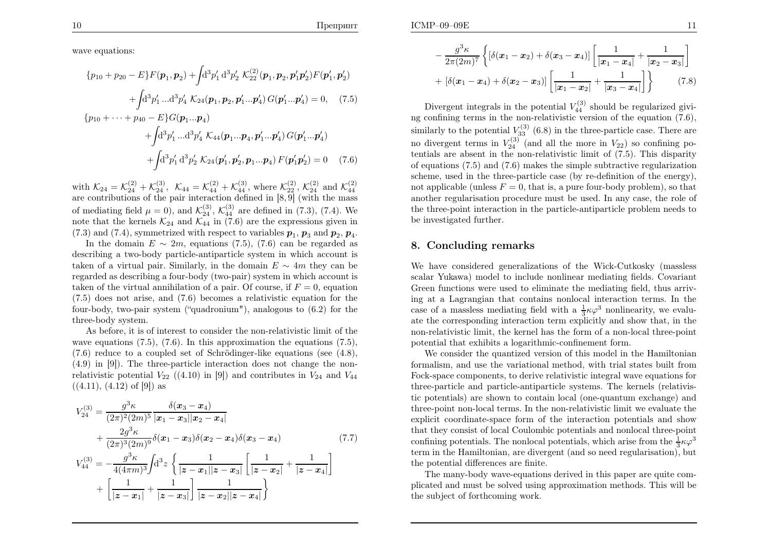$E$  and  $\frac{11}{2}$ 

wave equations:

$$
\{p_{10} + p_{20} - E\}F(\mathbf{p}_1, \mathbf{p}_2) + \int d^3p'_1 d^3p'_2 \mathcal{K}_{22}^{(2)}(\mathbf{p}_1, \mathbf{p}_2, \mathbf{p}'_1\mathbf{p}'_2)F(\mathbf{p}'_1, \mathbf{p}'_2) + \int d^3p'_1 ... d^3p'_4 \mathcal{K}_{24}(\mathbf{p}_1, \mathbf{p}_2, \mathbf{p}'_1... \mathbf{p}'_4) G(\mathbf{p}'_1... \mathbf{p}'_4) = 0, \quad (7.5) \n\{p_{10} + \cdots + p_{40} - E\}G(\mathbf{p}_1... \mathbf{p}_4) + \int d^3p'_1 ... d^3p'_4 \mathcal{K}_{44}(\mathbf{p}_1... \mathbf{p}_4, \mathbf{p}'_1... \mathbf{p}'_4) G(\mathbf{p}'_1... \mathbf{p}'_4) + \int d^3p'_1 d^3p'_2 \mathcal{K}_{24}(\mathbf{p}'_1, \mathbf{p}'_2, \mathbf{p}_1... \mathbf{p}_4) F(\mathbf{p}'_1\mathbf{p}'_2) = 0 \quad (7.6)
$$

with  $\mathcal{K}_{24} = \mathcal{K}_{24}^{(2)} + \mathcal{K}_{24}^{(3)}$ ,  $\mathcal{K}_{44} = \mathcal{K}_{44}^{(2)} + \mathcal{K}_{44}^{(3)}$ , where  $\mathcal{K}_{24}^{(2)}$ ,  $\mathcal{K}_{24}^{(2)}$  and  $\mathcal{K}_{44}^{(2)}$  are contributions of the pair interaction defined in [8, 9] (with the massof mediating field  $\mu = 0$ ), and  $\mathcal{K}_{24}^{(3)}$ ,  $\mathcal{K}_{44}^{(3)}$  are defined in (7.3), (7.4). We note that the kernels  $\mathcal{K}_{24}$  and  $\mathcal{K}_{44}$  in (7.6) are the expressions given in (7.3) and (7.4), symmetrized with respect to variables  $p_1$ ,  $p_3$  and  $p_2$ ,  $p_4$ .

In the domain  $E \sim 2m$ , equations (7.5), (7.6) can be regarded as describing <sup>a</sup> two-body particle-antiparticle system in which account istaken of a virtual pair. Similarly, in the domain  $E \sim 4m$  they can be received as describing a four body (two pair) system in which assess is regarded as describing <sup>a</sup> four-body (two-pair) system in which account istaken of the virtual annihilation of a pair. Of course, if  $F = 0$ , equation (7.5) does not arise, and (7.6) becomes <sup>a</sup> relativistic equation for the four-body, two-pair system ("quadronium"), analogous to (6.2) for thethree-body system.

As before, it is of interest to consider the non-relativistic limit of thewave equations  $(7.5)$ ,  $(7.6)$ . In this approximation the equations  $(7.5)$ ,  $(7.6)$  reduce to a coupled set of Schrödinger-like equations (see  $(4.8)$ , (4.9) in [9]). The three-particle interaction does not change the nonrelativistic potential  $V_{22}$  ((4.10) in [9]) and contributes in  $V_{24}$  and  $V_{44}$  $((4.11), (4.12)$  of [9]) as

$$
V_{24}^{(3)} = \frac{g^3 \kappa}{(2\pi)^2 (2m)^5} \frac{\delta(x_3 - x_4)}{|x_1 - x_3||x_2 - x_4|} + \frac{2g^3 \kappa}{(2\pi)^3 (2m)^9} \delta(x_1 - x_3) \delta(x_2 - x_4) \delta(x_3 - x_4)
$$
\n
$$
V_{44}^{(3)} = -\frac{g^3 \kappa}{4(4\pi m)^3} \int d^3 z \left\{ \frac{1}{|z - x_1||z - x_3|} \left[ \frac{1}{|z - x_2|} + \frac{1}{|z - x_4|} \right] \right\}
$$
\n(7.7)

$$
\begin{array}{c|c|c|c|c|c|c|c} & 4(4\pi m)^3 J & & 2 & |z-x_1||z-x_3| & |z-x_2| & |z-x_3| \\ & & & & 1 & \\ \hline & & & & 1 & \\ \hline & & & & 1 & \\ \end{array}
$$

$$
-\frac{g^3 \kappa}{2\pi (2m)^7} \left\{ \left[ \delta(x_1 - x_2) + \delta(x_3 - x_4) \right] \left[ \frac{1}{|\mathbf{x}_1 - \mathbf{x}_4|} + \frac{1}{|\mathbf{x}_2 - \mathbf{x}_3|} \right] + \left[ \delta(x_1 - x_4) + \delta(x_2 - x_3) \right] \left[ \frac{1}{|\mathbf{x}_1 - \mathbf{x}_2|} + \frac{1}{|\mathbf{x}_3 - \mathbf{x}_4|} \right] \right\} \tag{7.8}
$$

Divergent integrals in the potential  $V_{44}^{(3)}$  should be regularized givi ng confining terms in the non-relativistic version of the equation (7.6),similarly to the potential  $V_{33}^{(3)}$  (6.8) in the three-particle case. There are no divergent terms in  $V_{24}^{(3)}$  (and all the more in  $V_{22}$ ) so confining po tentials are absent in the non-relativistic limit of (7.5). This disparity of equations (7.5) and (7.6) makes the simple subtractive regularization scheme, used in the three-particle case (by re-definition of the energy), not applicable (unless  $F = 0$ , that is, a pure four-body problem), so that another regularisation procedure must be used. In any case, the role of the three-point interaction in the particle-antiparticle problem needs tobe investigated further.

#### 8. Concluding remarks

We have considered generalizations of the Wick-Cutkosky (massless scalar Yukawa) model to include nonlinear mediating fields. Covariant Green functions were used to eliminate the mediating field, thus arriving at <sup>a</sup> Lagrangian that contains nonlocal interaction terms. In thecase of a massless mediating field with a  $\frac{1}{3}\kappa\varphi^3$  nonlinearity, we evalu- ate the corresponding interaction term explicitly and show that, in the non-relativistic limit, the kernel has the form of <sup>a</sup> non-local three-pointpotential that exhibits <sup>a</sup> logarithmic-confinement form.

We consider the quantized version of this model in the Hamiltonian formalism, and use the variational method, with trial states built from Fock-space components, to derive relativistic integral wave equations for three-particle and particle-antiparticle systems. The kernels (relativistic potentials) are shown to contain local (one-quantum exchange) and three-point non-local terms. In the non-relativistic limit we evaluate the explicit coordinate-space form of the interaction potentials and show that they consist of local Coulombic potentials and nonlocal three-pointconfining potentials. The nonlocal potentials, which arise from the  $\frac{1}{3}\kappa\varphi^3$  term in the Hamiltonian, are divergent (and so need regularisation), butthe potential differences are finite.

The many-body wave-equations derived in this paper are quite complicated and must be solved using approximation methods. This will bethe subject of forthcoming work.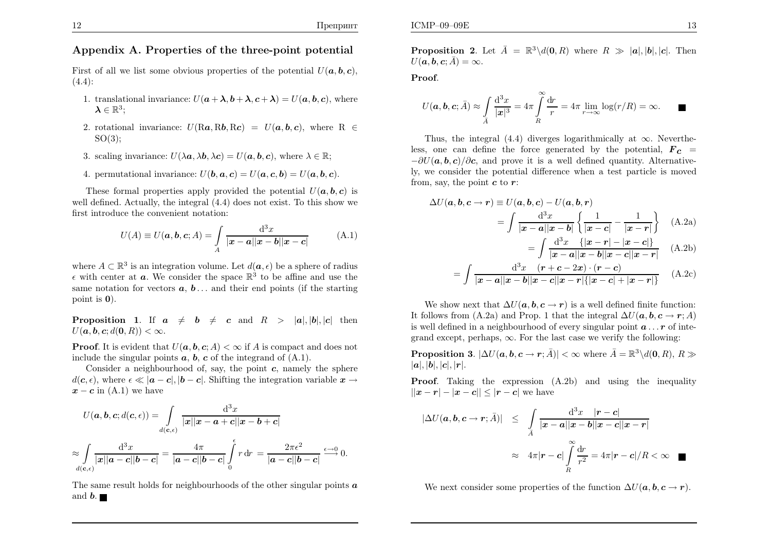### Appendix A. Properties of the three-point potential

First of all we list some obvious properties of the potential  $U(\boldsymbol{a}, \boldsymbol{b}, \boldsymbol{c})$ ,  $(4.4):$ 

- 1. translational invariance:  $U(\boldsymbol{a}+\boldsymbol{\lambda},\boldsymbol{b}+\boldsymbol{\lambda},\boldsymbol{c}+\boldsymbol{\lambda})=U(\boldsymbol{a},\boldsymbol{b},\boldsymbol{c}),$  where  $\boldsymbol{\lambda}\in\mathbb{R}^3$ ;
- 2. rotational invariance:  $U(Ra, Rb, Rc) = U(a, b, c)$ , where R  $\in$  $SO(3)$ :
- 3. scaling invariance:  $U(\lambda a, \lambda b, \lambda c) = U(a, b, c)$ , where  $\lambda \in \mathbb{R}$ ;
- 4. permutational invariance:  $U(\boldsymbol{b}, \boldsymbol{a}, \boldsymbol{c}) = U(\boldsymbol{a}, \boldsymbol{c}, \boldsymbol{b}) = U(\boldsymbol{a}, \boldsymbol{b}, \boldsymbol{c}).$

These formal properties apply provided the potential  $U(\boldsymbol{a}, \boldsymbol{b}, \boldsymbol{c})$  is well defined. Actually, the integral (4.4) does not exist. To this show we first introduce the convenient notation:

$$
U(A) \equiv U(\boldsymbol{a}, \boldsymbol{b}, \boldsymbol{c}; A) = \int_{A} \frac{\mathrm{d}^3 x}{|\boldsymbol{x} - \boldsymbol{a}| |\boldsymbol{x} - \boldsymbol{b}| |\boldsymbol{x} - \boldsymbol{c}|} \tag{A.1}
$$

where  $A \subset \mathbb{R}^3$  is an integration volume. Let  $d(\boldsymbol{a}, \epsilon)$  be a sphere of radius  $\epsilon$  with center at **a**. We consider the space  $\mathbb{R}^3$  to be affine and use the same notation for vectors  $a, b \dots$  and their end points (if the starting point is  $\mathbf{0}$ ).

**Proposition 1.** If  $a \neq b \neq c$  and  $R > |a|, |b|, |c|$  then  $U(\boldsymbol{a},\boldsymbol{b},\boldsymbol{c}; d(\boldsymbol{0},R)) < \infty.$ 

**Proof.** It is evident that  $U(a, b, c; A) < \infty$  if A is compact and does not include the singular points  $a, b, c$  of the integrand of  $(A, 1)$ include the singular points  $a, b, c$  of the integrand of  $(A.1)$ .

Consider a neighbourhood of, say, the point  $c$ , namely the sphere  $d(c, \epsilon)$ , where  $\epsilon \ll |\boldsymbol{a} - \boldsymbol{c}|$ ,  $|\boldsymbol{b} - \boldsymbol{c}|$ . Shifting the integration variable  $\boldsymbol{x} \to$  $x-c$  in (A.1) we have

$$
U(\boldsymbol{a},\boldsymbol{b},\boldsymbol{c};d(\boldsymbol{c},\epsilon)) = \int_{d(\mathbf{c},\epsilon)} \frac{\mathrm{d}^3 x}{|\boldsymbol{x}||\boldsymbol{x}-\boldsymbol{a}+\boldsymbol{c}||\boldsymbol{x}-\boldsymbol{b}+\boldsymbol{c}|}
$$

$$
\approx \int_{d(\mathbf{c},\epsilon)} \frac{\mathrm{d}^3 x}{|\boldsymbol{x}||\boldsymbol{a}-\boldsymbol{c}||\boldsymbol{b}-\boldsymbol{c}|} = \frac{4\pi}{|\boldsymbol{a}-\boldsymbol{c}||\boldsymbol{b}-\boldsymbol{c}|} \int_{0}^{\epsilon} r \, \mathrm{d}r = \frac{2\pi\epsilon^2}{|\boldsymbol{a}-\boldsymbol{c}||\boldsymbol{b}-\boldsymbol{c}|} \stackrel{\epsilon \to 0}{\longrightarrow} 0.
$$

The same result holds for neighbourhoods of the other singular points  $a$ and  $\bm{b}$ .

Proof.

ICMP–09–09E

$$
U(\mathbf{a}, \mathbf{b}, \mathbf{c}; \bar{A}) \approx \int_{\bar{A}} \frac{d^3 x}{|\mathbf{x}|^3} = 4\pi \int_{R}^{\infty} \frac{dr}{r} = 4\pi \lim_{r \to \infty} \log(r/R) = \infty.
$$

Thus, the integral (4.4) diverges logarithmically at  $\infty$ . Nevertheless, one can define the force generated by the potential,  $\boldsymbol{F_c}$  =  $-\partial U(\boldsymbol{a},\boldsymbol{b},\boldsymbol{c})/\partial \boldsymbol{c}$ , and prove it is a well defined quantity. Alternative ly, we consider the potential difference when <sup>a</sup> test particle is movedfrom, say, the point  $c$  to  $r$ :

$$
\Delta U(\mathbf{a}, \mathbf{b}, \mathbf{c} \to \mathbf{r}) \equiv U(\mathbf{a}, \mathbf{b}, \mathbf{c}) - U(\mathbf{a}, \mathbf{b}, \mathbf{r})
$$

$$
= \int \frac{\mathrm{d}^3 x}{|\mathbf{x} - \mathbf{a}| |\mathbf{x} - \mathbf{b}|} \left\{ \frac{1}{|\mathbf{x} - \mathbf{c}|} - \frac{1}{|\mathbf{x} - \mathbf{r}|} \right\} \quad \text{(A.2a)}
$$

$$
= \int \frac{\mathrm{d}^3 x}{|\bm{x} - \bm{a}| |\bm{x} - \bm{b}| |\bm{x} - \bm{c}| |\bm{x} - \bm{r}|} \quad \text{(A.2b)}
$$

$$
= \int \frac{d^3x (r+c-2x) \cdot (r-c)}{|x-a||x-b||x-c||x-r| \{ |x-c|+|x-r| \}} \quad (A.2c)
$$

We show next that  $\Delta U(\boldsymbol{a}, \boldsymbol{b}, \boldsymbol{c} \to \boldsymbol{r})$  is a well defined finite function: It follows from (A.2a) and Prop. 1 that the integral  $\Delta U(\boldsymbol{a}, \boldsymbol{b}, \boldsymbol{c} \to \boldsymbol{r}; A)$ is well defined in a neighbourhood of every singular point  $\boldsymbol{a} \dots \boldsymbol{r}$  of integrand except, perhaps,  $\infty$ . For the last case we verify the following:

**Proposition 3.**  $|\Delta U(a, b, c \rightarrow r; \overline{A})| < \infty$  where  $\overline{A} = \mathbb{R}^3 \setminus d(0, R), R \gg$  $|\boldsymbol{a}|, |\boldsymbol{b}|, |\boldsymbol{c}|, |\boldsymbol{r}|.$ 

Proof. Taking the expression (A.2b) and using the inequality $||x-r| - |x-c|| \leq |r-c|$  we have

$$
|\Delta U(a, b, c \to r; \bar{A})| \leq \int\limits_{\bar{A}} \frac{\mathrm{d}^3 x \quad |r - c|}{|x - a||x - b||x - c||x - r|}
$$
  

$$
\approx 4\pi |r - c| \int\limits_{R}^{\infty} \frac{\mathrm{d}r}{r^2} = 4\pi |r - c|/R < \infty \quad \blacksquare
$$

We next consider some properties of the function  $\Delta U(\boldsymbol{a}, \boldsymbol{b}, \boldsymbol{c} \to \boldsymbol{r})$ .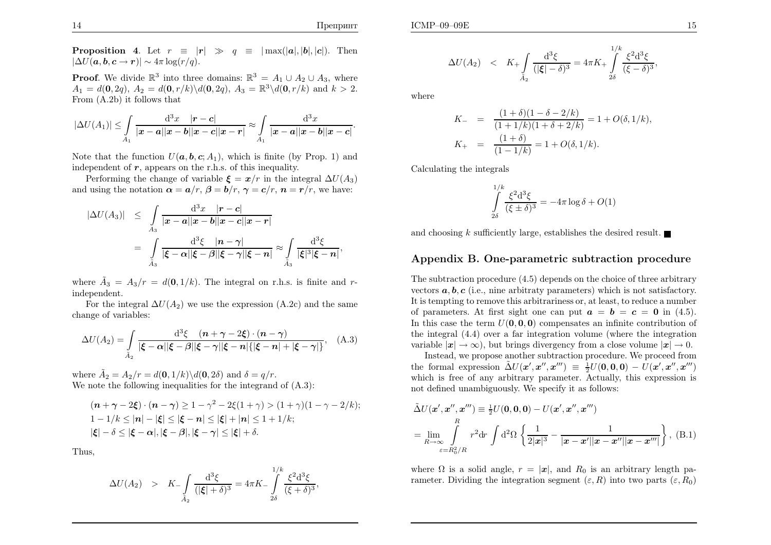**Proposition 4.** Let  $r \equiv |r| \gg q \equiv |\max(|a|, |b|, |c|)$ . Then  $|\Delta U(\boldsymbol{a},\boldsymbol{b},\boldsymbol{c}\to\boldsymbol{r})| \sim 4\pi \log(r/q).$ 

**Proof.** We divide  $\mathbb{R}^3$  into three domains:  $\mathbb{R}^3 = A_1 \cup A_2 \cup A_3$ , where  $A_1 = d(0, 2q), A_2 = d(0, r/k)\langle d(0, 2q), A_3 = \mathbb{R}^3\langle d(0, r/k) \text{ and } k > 2.$ From (A.2b) it follows that

$$
|\Delta U(A_1)| \leq \int_{A_1} \frac{d^3x}{|x-a||x-b||x-c||x-r|} \approx \int_{A_1} \frac{d^3x}{|x-a||x-b||x-c|}
$$

Note that the function  $U(a, b, c; A_1)$ , which is finite (by Prop. 1) and independent of  $r$ , appears on the r.h.s. of this inequality.

Performing the change of variable  $\xi = x/r$  in the integral  $\Delta U(A_3)$ and using the notation  $\boldsymbol{\alpha}=\boldsymbol{a}/r, \boldsymbol{\beta}=\boldsymbol{b}/r, \boldsymbol{\gamma}=\boldsymbol{c}/r, \, \boldsymbol{n}=\boldsymbol{r}/r,$  we have:

$$
\begin{array}{rcl}\n|\Delta U(A_3)| & \leq & \int\limits_{A_3} \frac{\mathrm{d}^3 x}{|\boldsymbol{x}-\boldsymbol{a}||\boldsymbol{x}-\boldsymbol{b}||\boldsymbol{x}-\boldsymbol{c}||\boldsymbol{x}-\boldsymbol{r}|} \\
& = & \int\limits_{\tilde{A}_3} \frac{\mathrm{d}^3 \xi}{|\boldsymbol{\xi}-\boldsymbol{\alpha}||\boldsymbol{\xi}-\boldsymbol{\beta}||\boldsymbol{\xi}-\boldsymbol{\gamma}||\boldsymbol{x}-\boldsymbol{n}|} \approx \int\limits_{\tilde{A}_3} \frac{\mathrm{d}^3 \xi}{|\boldsymbol{\xi}|^3 |\boldsymbol{\xi}-\boldsymbol{n}|},\n\end{array}
$$

where  $\tilde{A}_3 = A_3/r = d(0, 1/k)$ . The integral on r.h.s. is finite and r-independent. rondor

For the integral  $\Delta U(A_2)$  we use the expression (A.2c) and the same change of variables:

$$
\Delta U(A_2) = \int\limits_{\tilde{A}_2} \frac{\mathrm{d}^3 \xi \quad (n + \gamma - 2\xi) \cdot (n - \gamma)}{|\xi - \alpha||\xi - \beta||\xi - \gamma||\xi - n|\{|\xi - n| + |\xi - \gamma|\}}, \quad \text{(A.3)}
$$

where  $\tilde{A}_2 = A_2/r = d(\mathbf{0}, 1/k)\backslash d(\mathbf{0}, 2\delta)$  and  $\delta = q/r$ . We note the following inequalities for the integrand of  $(A.3)$ :

$$
(\boldsymbol{n} + \boldsymbol{\gamma} - 2\boldsymbol{\xi}) \cdot (\boldsymbol{n} - \boldsymbol{\gamma}) \ge 1 - \gamma^2 - 2\boldsymbol{\xi}(1 + \gamma) > (1 + \gamma)(1 - \gamma - 2/k);
$$
\n
$$
1 - 1/k \le |\boldsymbol{n}| - |\boldsymbol{\xi}| \le |\boldsymbol{\xi} - \boldsymbol{n}| \le |\boldsymbol{\xi}| + |\boldsymbol{n}| \le 1 + 1/k;
$$
\n
$$
|\boldsymbol{\xi}| - \delta \le |\boldsymbol{\xi} - \boldsymbol{\alpha}|, |\boldsymbol{\xi} - \boldsymbol{\beta}|, |\boldsymbol{\xi} - \boldsymbol{\gamma}| \le |\boldsymbol{\xi}| + \delta.
$$

Thus,

$$
\Delta U(A_2) > K_{-} \int_{\tilde{A}_2} \frac{d^3 \xi}{(|\xi| + \delta)^3} = 4\pi K_{-} \int_{2\delta}^{1/k} \frac{\xi^2 d^3 \xi}{(\xi + \delta)^3},
$$

,

$$
\Delta U(A_2) < K_+ \int\limits_{\tilde{A}_2} \frac{\mathrm{d}^3 \xi}{(|\xi| - \delta)^3} = 4\pi K_+ \int\limits_{2\delta}^{1/k} \frac{\xi^2 \mathrm{d}^3 \xi}{(\xi - \delta)^3}
$$

where

$$
K_{-} = \frac{(1+\delta)(1-\delta-2/k)}{(1+1/k)(1+\delta+2/k)} = 1 + O(\delta, 1/k),
$$
  

$$
K_{+} = \frac{(1+\delta)}{(1-1/k)} = 1 + O(\delta, 1/k).
$$

Calculating the integrals

$$
\int_{2\delta}^{1/k} \frac{\xi^2 d^3 \xi}{(\xi \pm \delta)^3} = -4\pi \log \delta + O(1)
$$

and choosing  $k$  sufficiently large, establishes the desired result.

## Appendix B. One-parametric subtraction procedure

The subtraction procedure (4.5) depends on the choice of three arbitraryvectors  $a, b, c$  (i.e., nine arbitraty parameters) which is not satisfactory. It is tempting to remove this arbitrariness or, at least, to reduce <sup>a</sup> numberof parameters. At first sight one can put  $\mathbf{a}=\mathbf{b}=\mathbf{c}=0$  in (4.5). In this case the term  $U(0, 0, 0)$  compensates an infinite contribution of the integral (4.4) over <sup>a</sup> far integration volume (where the integrationvariable  $|\mathbf{x}| \to \infty$ , but brings divergency from a close volume  $|\mathbf{x}| \to 0$ .<br>Instead, we propose another subtraction procedure. We proceed from

Instead, we propose another subtraction procedure. We proceed fromthe formal expression  $\tilde{\Delta}U(\mathbf{x}', \mathbf{x}'', \mathbf{x}''') \equiv \frac{1}{2}U(\mathbf{0}, \mathbf{0}, \mathbf{0}) - U(\mathbf{x}', \mathbf{x}'', \mathbf{x}''')$  which is free of any arbitrary parameter. Actually, this expression isnot defined unambiguously. We specify it as follows:

$$
\tilde{\Delta}U(\mathbf{x}', \mathbf{x}'', \mathbf{x}''') \equiv \frac{1}{2}U(\mathbf{0}, \mathbf{0}, \mathbf{0}) - U(\mathbf{x}', \mathbf{x}'', \mathbf{x}''')
$$
\n
$$
= \lim_{R \to \infty} \int_{\varepsilon = R_0^2/R} r^2 dr \int d^2\Omega \left\{ \frac{1}{2|\mathbf{x}|^3} - \frac{1}{|\mathbf{x} - \mathbf{x}'||\mathbf{x} - \mathbf{x}''||\mathbf{x} - \mathbf{x}''|} \right\}, \text{ (B.1)}
$$

where  $\Omega$  is a solid angle,  $r = |\mathbf{x}|$ , and  $R_0$  is an arbitrary length parameter. Dividing the integration segment  $(\varepsilon, R)$  into two parts  $(\varepsilon, R_0)$